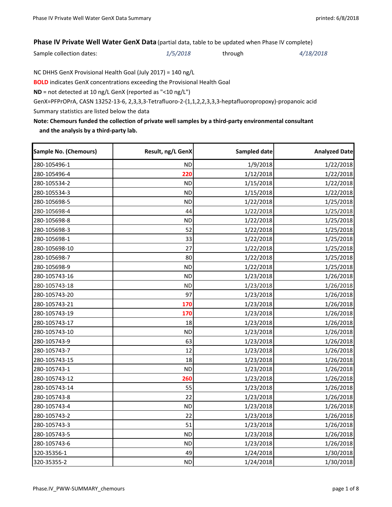## **Phase IV Private Well Water GenX Data** (partial data, table to be updated when Phase IV complete)

Sample collection dates: *1/5/2018* through *4/18/2018*

NC DHHS GenX Provisional Health Goal (July 2017) = 140 ng/L

**BOLD** indicates GenX concentrations exceeding the Provisional Health Goal

**ND** = not detected at 10 ng/L GenX (reported as "<10 ng/L")

GenX=PFPrOPrA, CASN 13252‐13‐6, 2,3,3,3‐Tetrafluoro‐2‐(1,1,2,2,3,3,3‐heptafluoropropoxy)‐propanoic acid

Summary statistics are listed below the data

## **Note: Chemours funded the collection of private well samples by a third‐party environmental consultant and the analysis by a third‐party lab.**

| Sample No. (Chemours) | Result, ng/L GenX | Sampled date | <b>Analyzed Date</b> |
|-----------------------|-------------------|--------------|----------------------|
| 280-105496-1          | <b>ND</b>         | 1/9/2018     | 1/22/2018            |
| 280-105496-4          | 220               | 1/12/2018    | 1/22/2018            |
| 280-105534-2          | <b>ND</b>         | 1/15/2018    | 1/22/2018            |
| 280-105534-3          | <b>ND</b>         | 1/15/2018    | 1/22/2018            |
| 280-105698-5          | <b>ND</b>         | 1/22/2018    | 1/25/2018            |
| 280-105698-4          | 44                | 1/22/2018    | 1/25/2018            |
| 280-105698-8          | <b>ND</b>         | 1/22/2018    | 1/25/2018            |
| 280-105698-3          | 52                | 1/22/2018    | 1/25/2018            |
| 280-105698-1          | 33                | 1/22/2018    | 1/25/2018            |
| 280-105698-10         | 27                | 1/22/2018    | 1/25/2018            |
| 280-105698-7          | 80                | 1/22/2018    | 1/25/2018            |
| 280-105698-9          | <b>ND</b>         | 1/22/2018    | 1/25/2018            |
| 280-105743-16         | <b>ND</b>         | 1/23/2018    | 1/26/2018            |
| 280-105743-18         | <b>ND</b>         | 1/23/2018    | 1/26/2018            |
| 280-105743-20         | 97                | 1/23/2018    | 1/26/2018            |
| 280-105743-21         | 170               | 1/23/2018    | 1/26/2018            |
| 280-105743-19         | 170               | 1/23/2018    | 1/26/2018            |
| 280-105743-17         | 18                | 1/23/2018    | 1/26/2018            |
| 280-105743-10         | <b>ND</b>         | 1/23/2018    | 1/26/2018            |
| 280-105743-9          | 63                | 1/23/2018    | 1/26/2018            |
| 280-105743-7          | 12                | 1/23/2018    | 1/26/2018            |
| 280-105743-15         | 18                | 1/23/2018    | 1/26/2018            |
| 280-105743-1          | <b>ND</b>         | 1/23/2018    | 1/26/2018            |
| 280-105743-12         | 260               | 1/23/2018    | 1/26/2018            |
| 280-105743-14         | 55                | 1/23/2018    | 1/26/2018            |
| 280-105743-8          | 22                | 1/23/2018    | 1/26/2018            |
| 280-105743-4          | <b>ND</b>         | 1/23/2018    | 1/26/2018            |
| 280-105743-2          | 22                | 1/23/2018    | 1/26/2018            |
| 280-105743-3          | 51                | 1/23/2018    | 1/26/2018            |
| 280-105743-5          | <b>ND</b>         | 1/23/2018    | 1/26/2018            |
| 280-105743-6          | <b>ND</b>         | 1/23/2018    | 1/26/2018            |
| 320-35356-1           | 49                | 1/24/2018    | 1/30/2018            |
| 320-35355-2           | <b>ND</b>         | 1/24/2018    | 1/30/2018            |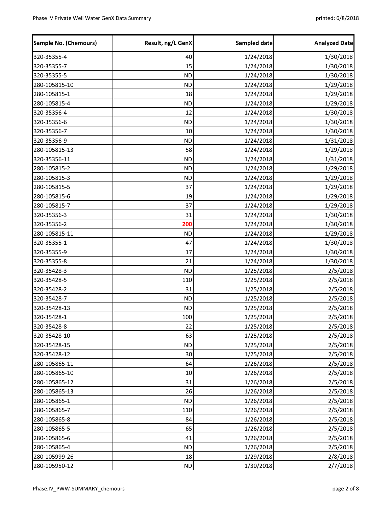| <b>Sample No. (Chemours)</b> | Result, ng/L GenX | Sampled date | <b>Analyzed Date</b> |
|------------------------------|-------------------|--------------|----------------------|
| 320-35355-4                  | 40                | 1/24/2018    | 1/30/2018            |
| 320-35355-7                  | 15                | 1/24/2018    | 1/30/2018            |
| 320-35355-5                  | <b>ND</b>         | 1/24/2018    | 1/30/2018            |
| 280-105815-10                | <b>ND</b>         | 1/24/2018    | 1/29/2018            |
| 280-105815-1                 | 18                | 1/24/2018    | 1/29/2018            |
| 280-105815-4                 | <b>ND</b>         | 1/24/2018    | 1/29/2018            |
| 320-35356-4                  | 12                | 1/24/2018    | 1/30/2018            |
| 320-35356-6                  | <b>ND</b>         | 1/24/2018    | 1/30/2018            |
| 320-35356-7                  | 10                | 1/24/2018    | 1/30/2018            |
| 320-35356-9                  | <b>ND</b>         | 1/24/2018    | 1/31/2018            |
| 280-105815-13                | 58                | 1/24/2018    | 1/29/2018            |
| 320-35356-11                 | <b>ND</b>         | 1/24/2018    | 1/31/2018            |
| 280-105815-2                 | <b>ND</b>         | 1/24/2018    | 1/29/2018            |
| 280-105815-3                 | <b>ND</b>         | 1/24/2018    | 1/29/2018            |
| 280-105815-5                 | 37                | 1/24/2018    | 1/29/2018            |
| 280-105815-6                 | 19                | 1/24/2018    | 1/29/2018            |
| 280-105815-7                 | 37                | 1/24/2018    | 1/29/2018            |
| 320-35356-3                  | 31                | 1/24/2018    | 1/30/2018            |
| 320-35356-2                  | 200               | 1/24/2018    | 1/30/2018            |
| 280-105815-11                | <b>ND</b>         | 1/24/2018    | 1/29/2018            |
| 320-35355-1                  | 47                | 1/24/2018    | 1/30/2018            |
| 320-35355-9                  | 17                | 1/24/2018    | 1/30/2018            |
| 320-35355-8                  | 21                | 1/24/2018    | 1/30/2018            |
| 320-35428-3                  | <b>ND</b>         | 1/25/2018    | 2/5/2018             |
| 320-35428-5                  | 110               | 1/25/2018    | 2/5/2018             |
| 320-35428-2                  | 31                | 1/25/2018    | 2/5/2018             |
| 320-35428-7                  | <b>ND</b>         | 1/25/2018    | 2/5/2018             |
| 320-35428-13                 | <b>ND</b>         | 1/25/2018    | 2/5/2018             |
| 320-35428-1                  | 100               | 1/25/2018    | 2/5/2018             |
| 320-35428-8                  | 22                | 1/25/2018    | 2/5/2018             |
| 320-35428-10                 | 63                | 1/25/2018    | 2/5/2018             |
| 320-35428-15                 | <b>ND</b>         | 1/25/2018    | 2/5/2018             |
| 320-35428-12                 | 30                | 1/25/2018    | 2/5/2018             |
| 280-105865-11                | 64                | 1/26/2018    | 2/5/2018             |
| 280-105865-10                | 10                | 1/26/2018    | 2/5/2018             |
| 280-105865-12                | 31                | 1/26/2018    | 2/5/2018             |
| 280-105865-13                | 26                | 1/26/2018    | 2/5/2018             |
| 280-105865-1                 | <b>ND</b>         | 1/26/2018    | 2/5/2018             |
| 280-105865-7                 | 110               | 1/26/2018    | 2/5/2018             |
| 280-105865-8                 | 84                | 1/26/2018    | 2/5/2018             |
| 280-105865-5                 | 65                | 1/26/2018    | 2/5/2018             |
| 280-105865-6                 | 41                | 1/26/2018    | 2/5/2018             |
| 280-105865-4                 | <b>ND</b>         | 1/26/2018    | 2/5/2018             |
| 280-105999-26                | 18                | 1/29/2018    | 2/8/2018             |
| 280-105950-12                | <b>ND</b>         | 1/30/2018    | 2/7/2018             |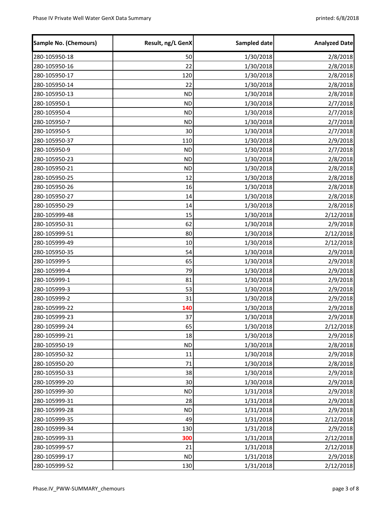| <b>Sample No. (Chemours)</b> | Result, ng/L GenX | Sampled date | <b>Analyzed Date</b> |
|------------------------------|-------------------|--------------|----------------------|
| 280-105950-18                | 50                | 1/30/2018    | 2/8/2018             |
| 280-105950-16                | 22                | 1/30/2018    | 2/8/2018             |
| 280-105950-17                | 120               | 1/30/2018    | 2/8/2018             |
| 280-105950-14                | 22                | 1/30/2018    | 2/8/2018             |
| 280-105950-13                | <b>ND</b>         | 1/30/2018    | 2/8/2018             |
| 280-105950-1                 | <b>ND</b>         | 1/30/2018    | 2/7/2018             |
| 280-105950-4                 | <b>ND</b>         | 1/30/2018    | 2/7/2018             |
| 280-105950-7                 | <b>ND</b>         | 1/30/2018    | 2/7/2018             |
| 280-105950-5                 | 30                | 1/30/2018    | 2/7/2018             |
| 280-105950-37                | 110               | 1/30/2018    | 2/9/2018             |
| 280-105950-9                 | <b>ND</b>         | 1/30/2018    | 2/7/2018             |
| 280-105950-23                | <b>ND</b>         | 1/30/2018    | 2/8/2018             |
| 280-105950-21                | <b>ND</b>         | 1/30/2018    | 2/8/2018             |
| 280-105950-25                | 12                | 1/30/2018    | 2/8/2018             |
| 280-105950-26                | 16                | 1/30/2018    | 2/8/2018             |
| 280-105950-27                | 14                | 1/30/2018    | 2/8/2018             |
| 280-105950-29                | 14                | 1/30/2018    | 2/8/2018             |
| 280-105999-48                | 15                | 1/30/2018    | 2/12/2018            |
| 280-105950-31                | 62                | 1/30/2018    | 2/9/2018             |
| 280-105999-51                | 80                | 1/30/2018    | 2/12/2018            |
| 280-105999-49                | 10                | 1/30/2018    | 2/12/2018            |
| 280-105950-35                | 54                | 1/30/2018    | 2/9/2018             |
| 280-105999-5                 | 65                | 1/30/2018    | 2/9/2018             |
| 280-105999-4                 | 79                | 1/30/2018    | 2/9/2018             |
| 280-105999-1                 | 81                | 1/30/2018    | 2/9/2018             |
| 280-105999-3                 | 53                | 1/30/2018    | 2/9/2018             |
| 280-105999-2                 | 31                | 1/30/2018    | 2/9/2018             |
| 280-105999-22                | 140               | 1/30/2018    | 2/9/2018             |
| 280-105999-23                | 37                | 1/30/2018    | 2/9/2018             |
| 280-105999-24                | 65                | 1/30/2018    | 2/12/2018            |
| 280-105999-21                | 18                | 1/30/2018    | 2/9/2018             |
| 280-105950-19                | <b>ND</b>         | 1/30/2018    | 2/8/2018             |
| 280-105950-32                | 11                | 1/30/2018    | 2/9/2018             |
| 280-105950-20                | 71                | 1/30/2018    | 2/8/2018             |
| 280-105950-33                | 38                | 1/30/2018    | 2/9/2018             |
| 280-105999-20                | 30                | 1/30/2018    | 2/9/2018             |
| 280-105999-30                | <b>ND</b>         | 1/31/2018    | 2/9/2018             |
| 280-105999-31                | 28                | 1/31/2018    | 2/9/2018             |
| 280-105999-28                | <b>ND</b>         | 1/31/2018    | 2/9/2018             |
| 280-105999-35                | 49                | 1/31/2018    | 2/12/2018            |
| 280-105999-34                | 130               | 1/31/2018    | 2/9/2018             |
| 280-105999-33                | 300               | 1/31/2018    | 2/12/2018            |
| 280-105999-57                | 21                | 1/31/2018    | 2/12/2018            |
| 280-105999-17                | <b>ND</b>         | 1/31/2018    | 2/9/2018             |
| 280-105999-52                | 130               | 1/31/2018    | 2/12/2018            |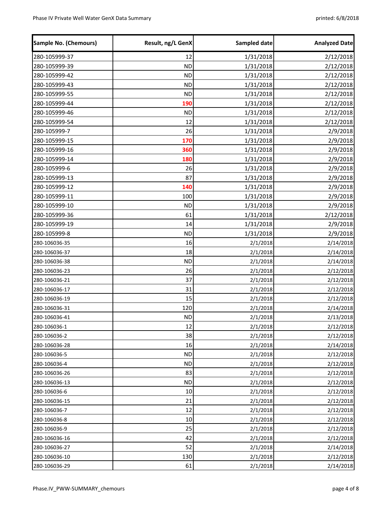| <b>Sample No. (Chemours)</b> | Result, ng/L GenX | Sampled date | <b>Analyzed Date</b> |
|------------------------------|-------------------|--------------|----------------------|
| 280-105999-37                | 12                | 1/31/2018    | 2/12/2018            |
| 280-105999-39                | <b>ND</b>         | 1/31/2018    | 2/12/2018            |
| 280-105999-42                | <b>ND</b>         | 1/31/2018    | 2/12/2018            |
| 280-105999-43                | <b>ND</b>         | 1/31/2018    | 2/12/2018            |
| 280-105999-55                | <b>ND</b>         | 1/31/2018    | 2/12/2018            |
| 280-105999-44                | 190               | 1/31/2018    | 2/12/2018            |
| 280-105999-46                | <b>ND</b>         | 1/31/2018    | 2/12/2018            |
| 280-105999-54                | 12                | 1/31/2018    | 2/12/2018            |
| 280-105999-7                 | 26                | 1/31/2018    | 2/9/2018             |
| 280-105999-15                | 170               | 1/31/2018    | 2/9/2018             |
| 280-105999-16                | 360               | 1/31/2018    | 2/9/2018             |
| 280-105999-14                | 180               | 1/31/2018    | 2/9/2018             |
| 280-105999-6                 | 26                | 1/31/2018    | 2/9/2018             |
| 280-105999-13                | 87                | 1/31/2018    | 2/9/2018             |
| 280-105999-12                | 140               | 1/31/2018    | 2/9/2018             |
| 280-105999-11                | 100               | 1/31/2018    | 2/9/2018             |
| 280-105999-10                | <b>ND</b>         | 1/31/2018    | 2/9/2018             |
| 280-105999-36                | 61                | 1/31/2018    | 2/12/2018            |
| 280-105999-19                | 14                | 1/31/2018    | 2/9/2018             |
| 280-105999-8                 | <b>ND</b>         | 1/31/2018    | 2/9/2018             |
| 280-106036-35                | 16                | 2/1/2018     | 2/14/2018            |
| 280-106036-37                | 18                | 2/1/2018     | 2/14/2018            |
| 280-106036-38                | <b>ND</b>         | 2/1/2018     | 2/14/2018            |
| 280-106036-23                | 26                | 2/1/2018     | 2/12/2018            |
| 280-106036-21                | 37                | 2/1/2018     | 2/12/2018            |
| 280-106036-17                | 31                | 2/1/2018     | 2/12/2018            |
| 280-106036-19                | 15                | 2/1/2018     | 2/12/2018            |
| 280-106036-31                | 120               | 2/1/2018     | 2/14/2018            |
| 280-106036-41                | <b>ND</b>         | 2/1/2018     | 2/13/2018            |
| 280-106036-1                 | 12                | 2/1/2018     | 2/12/2018            |
| 280-106036-2                 | 38                | 2/1/2018     | 2/12/2018            |
| 280-106036-28                | 16                | 2/1/2018     | 2/14/2018            |
| 280-106036-5                 | <b>ND</b>         | 2/1/2018     | 2/12/2018            |
| 280-106036-4                 | <b>ND</b>         | 2/1/2018     | 2/12/2018            |
| 280-106036-26                | 83                | 2/1/2018     | 2/12/2018            |
| 280-106036-13                | <b>ND</b>         | 2/1/2018     | 2/12/2018            |
| 280-106036-6                 | 10                | 2/1/2018     | 2/12/2018            |
| 280-106036-15                | 21                | 2/1/2018     | 2/12/2018            |
| 280-106036-7                 | 12                | 2/1/2018     | 2/12/2018            |
| 280-106036-8                 | 10                | 2/1/2018     | 2/12/2018            |
| 280-106036-9                 | 25                | 2/1/2018     | 2/12/2018            |
| 280-106036-16                | 42                | 2/1/2018     | 2/12/2018            |
| 280-106036-27                | 52                | 2/1/2018     | 2/14/2018            |
| 280-106036-10                | 130               | 2/1/2018     | 2/12/2018            |
| 280-106036-29                | 61                | 2/1/2018     | 2/14/2018            |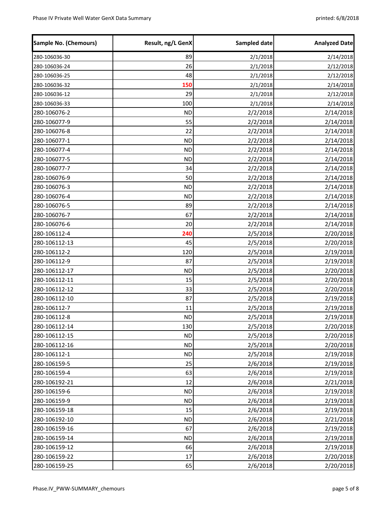| <b>Sample No. (Chemours)</b> | Result, ng/L GenX | Sampled date | <b>Analyzed Date</b> |
|------------------------------|-------------------|--------------|----------------------|
| 280-106036-30                | 89                | 2/1/2018     | 2/14/2018            |
| 280-106036-24                | 26                | 2/1/2018     | 2/12/2018            |
| 280-106036-25                | 48                | 2/1/2018     | 2/12/2018            |
| 280-106036-32                | 150               | 2/1/2018     | 2/14/2018            |
| 280-106036-12                | 29                | 2/1/2018     | 2/12/2018            |
| 280-106036-33                | 100               | 2/1/2018     | 2/14/2018            |
| 280-106076-2                 | <b>ND</b>         | 2/2/2018     | 2/14/2018            |
| 280-106077-9                 | 55                | 2/2/2018     | 2/14/2018            |
| 280-106076-8                 | 22                | 2/2/2018     | 2/14/2018            |
| 280-106077-1                 | <b>ND</b>         | 2/2/2018     | 2/14/2018            |
| 280-106077-4                 | <b>ND</b>         | 2/2/2018     | 2/14/2018            |
| 280-106077-5                 | <b>ND</b>         | 2/2/2018     | 2/14/2018            |
| 280-106077-7                 | 34                | 2/2/2018     | 2/14/2018            |
| 280-106076-9                 | 50                | 2/2/2018     | 2/14/2018            |
| 280-106076-3                 | <b>ND</b>         | 2/2/2018     | 2/14/2018            |
| 280-106076-4                 | <b>ND</b>         | 2/2/2018     | 2/14/2018            |
| 280-106076-5                 | 89                | 2/2/2018     | 2/14/2018            |
| 280-106076-7                 | 67                | 2/2/2018     | 2/14/2018            |
| 280-106076-6                 | 20                | 2/2/2018     | 2/14/2018            |
| 280-106112-4                 | 240               | 2/5/2018     | 2/20/2018            |
| 280-106112-13                | 45                | 2/5/2018     | 2/20/2018            |
| 280-106112-2                 | 120               | 2/5/2018     | 2/19/2018            |
| 280-106112-9                 | 87                | 2/5/2018     | 2/19/2018            |
| 280-106112-17                | <b>ND</b>         | 2/5/2018     | 2/20/2018            |
| 280-106112-11                | 15                | 2/5/2018     | 2/20/2018            |
| 280-106112-12                | 33                | 2/5/2018     | 2/20/2018            |
| 280-106112-10                | 87                | 2/5/2018     | 2/19/2018            |
| 280-106112-7                 | 11                | 2/5/2018     | 2/19/2018            |
| 280-106112-8                 | <b>ND</b>         | 2/5/2018     | 2/19/2018            |
| 280-106112-14                | 130               | 2/5/2018     | 2/20/2018            |
| 280-106112-15                | <b>ND</b>         | 2/5/2018     | 2/20/2018            |
| 280-106112-16                | <b>ND</b>         | 2/5/2018     | 2/20/2018            |
| 280-106112-1                 | <b>ND</b>         | 2/5/2018     | 2/19/2018            |
| 280-106159-5                 | 25                | 2/6/2018     | 2/19/2018            |
| 280-106159-4                 | 63                | 2/6/2018     | 2/19/2018            |
| 280-106192-21                | 12                | 2/6/2018     | 2/21/2018            |
| 280-106159-6                 | <b>ND</b>         | 2/6/2018     | 2/19/2018            |
| 280-106159-9                 | <b>ND</b>         | 2/6/2018     | 2/19/2018            |
| 280-106159-18                | 15                | 2/6/2018     | 2/19/2018            |
| 280-106192-10                | <b>ND</b>         | 2/6/2018     | 2/21/2018            |
| 280-106159-16                | 67                | 2/6/2018     | 2/19/2018            |
| 280-106159-14                | <b>ND</b>         | 2/6/2018     | 2/19/2018            |
| 280-106159-12                | 66                | 2/6/2018     | 2/19/2018            |
| 280-106159-22                | 17                | 2/6/2018     | 2/20/2018            |
| 280-106159-25                | 65                | 2/6/2018     | 2/20/2018            |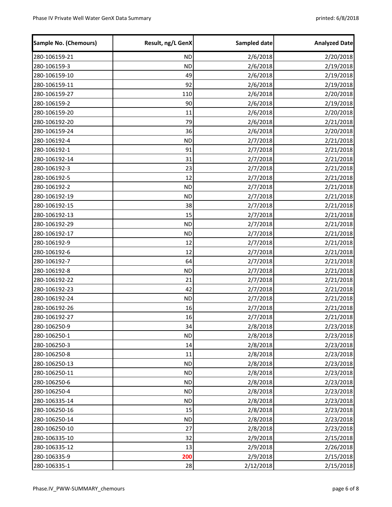| Sample No. (Chemours) | Result, ng/L GenX | Sampled date | <b>Analyzed Date</b> |
|-----------------------|-------------------|--------------|----------------------|
| 280-106159-21         | <b>ND</b>         | 2/6/2018     | 2/20/2018            |
| 280-106159-3          | <b>ND</b>         | 2/6/2018     | 2/19/2018            |
| 280-106159-10         | 49                | 2/6/2018     | 2/19/2018            |
| 280-106159-11         | 92                | 2/6/2018     | 2/19/2018            |
| 280-106159-27         | 110               | 2/6/2018     | 2/20/2018            |
| 280-106159-2          | 90                | 2/6/2018     | 2/19/2018            |
| 280-106159-20         | 11                | 2/6/2018     | 2/20/2018            |
| 280-106192-20         | 79                | 2/6/2018     | 2/21/2018            |
| 280-106159-24         | 36                | 2/6/2018     | 2/20/2018            |
| 280-106192-4          | <b>ND</b>         | 2/7/2018     | 2/21/2018            |
| 280-106192-1          | 91                | 2/7/2018     | 2/21/2018            |
| 280-106192-14         | 31                | 2/7/2018     | 2/21/2018            |
| 280-106192-3          | 23                | 2/7/2018     | 2/21/2018            |
| 280-106192-5          | 12                | 2/7/2018     | 2/21/2018            |
| 280-106192-2          | <b>ND</b>         | 2/7/2018     | 2/21/2018            |
| 280-106192-19         | <b>ND</b>         | 2/7/2018     | 2/21/2018            |
| 280-106192-15         | 38                | 2/7/2018     | 2/21/2018            |
| 280-106192-13         | 15                | 2/7/2018     | 2/21/2018            |
| 280-106192-29         | <b>ND</b>         | 2/7/2018     | 2/21/2018            |
| 280-106192-17         | <b>ND</b>         | 2/7/2018     | 2/21/2018            |
| 280-106192-9          | 12                | 2/7/2018     | 2/21/2018            |
| 280-106192-6          | 12                | 2/7/2018     | 2/21/2018            |
| 280-106192-7          | 64                | 2/7/2018     | 2/21/2018            |
| 280-106192-8          | <b>ND</b>         | 2/7/2018     | 2/21/2018            |
| 280-106192-22         | 21                | 2/7/2018     | 2/21/2018            |
| 280-106192-23         | 42                | 2/7/2018     | 2/21/2018            |
| 280-106192-24         | <b>ND</b>         | 2/7/2018     | 2/21/2018            |
| 280-106192-26         | 16                | 2/7/2018     | 2/21/2018            |
| 280-106192-27         | 16                | 2/7/2018     | 2/21/2018            |
| 280-106250-9          | 34                | 2/8/2018     | 2/23/2018            |
| 280-106250-1          | <b>ND</b>         | 2/8/2018     | 2/23/2018            |
| 280-106250-3          | 14                | 2/8/2018     | 2/23/2018            |
| 280-106250-8          | 11                | 2/8/2018     | 2/23/2018            |
| 280-106250-13         | <b>ND</b>         | 2/8/2018     | 2/23/2018            |
| 280-106250-11         | <b>ND</b>         | 2/8/2018     | 2/23/2018            |
| 280-106250-6          | <b>ND</b>         | 2/8/2018     | 2/23/2018            |
| 280-106250-4          | <b>ND</b>         | 2/8/2018     | 2/23/2018            |
| 280-106335-14         | <b>ND</b>         | 2/8/2018     | 2/23/2018            |
| 280-106250-16         | 15                | 2/8/2018     | 2/23/2018            |
| 280-106250-14         | <b>ND</b>         | 2/8/2018     | 2/23/2018            |
| 280-106250-10         | 27                | 2/8/2018     | 2/23/2018            |
| 280-106335-10         | 32                | 2/9/2018     | 2/15/2018            |
| 280-106335-12         | 13                | 2/9/2018     | 2/26/2018            |
| 280-106335-9          | 200               | 2/9/2018     | 2/15/2018            |
| 280-106335-1          | 28                | 2/12/2018    | 2/15/2018            |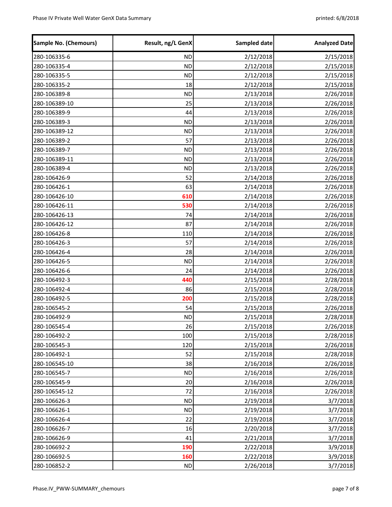| <b>Sample No. (Chemours)</b> | Result, ng/L GenX | Sampled date | <b>Analyzed Date</b> |
|------------------------------|-------------------|--------------|----------------------|
| 280-106335-6                 | <b>ND</b>         | 2/12/2018    | 2/15/2018            |
| 280-106335-4                 | <b>ND</b>         | 2/12/2018    | 2/15/2018            |
| 280-106335-5                 | <b>ND</b>         | 2/12/2018    | 2/15/2018            |
| 280-106335-2                 | 18                | 2/12/2018    | 2/15/2018            |
| 280-106389-8                 | <b>ND</b>         | 2/13/2018    | 2/26/2018            |
| 280-106389-10                | 25                | 2/13/2018    | 2/26/2018            |
| 280-106389-9                 | 44                | 2/13/2018    | 2/26/2018            |
| 280-106389-3                 | <b>ND</b>         | 2/13/2018    | 2/26/2018            |
| 280-106389-12                | <b>ND</b>         | 2/13/2018    | 2/26/2018            |
| 280-106389-2                 | 57                | 2/13/2018    | 2/26/2018            |
| 280-106389-7                 | <b>ND</b>         | 2/13/2018    | 2/26/2018            |
| 280-106389-11                | <b>ND</b>         | 2/13/2018    | 2/26/2018            |
| 280-106389-4                 | <b>ND</b>         | 2/13/2018    | 2/26/2018            |
| 280-106426-9                 | 52                | 2/14/2018    | 2/26/2018            |
| 280-106426-1                 | 63                | 2/14/2018    | 2/26/2018            |
| 280-106426-10                | 610               | 2/14/2018    | 2/26/2018            |
| 280-106426-11                | 530               | 2/14/2018    | 2/26/2018            |
| 280-106426-13                | 74                | 2/14/2018    | 2/26/2018            |
| 280-106426-12                | 87                | 2/14/2018    | 2/26/2018            |
| 280-106426-8                 | 110               | 2/14/2018    | 2/26/2018            |
| 280-106426-3                 | 57                | 2/14/2018    | 2/26/2018            |
| 280-106426-4                 | 28                | 2/14/2018    | 2/26/2018            |
| 280-106426-5                 | <b>ND</b>         | 2/14/2018    | 2/26/2018            |
| 280-106426-6                 | 24                | 2/14/2018    | 2/26/2018            |
| 280-106492-3                 | 440               | 2/15/2018    | 2/28/2018            |
| 280-106492-4                 | 86                | 2/15/2018    | 2/28/2018            |
| 280-106492-5                 | 200               | 2/15/2018    | 2/28/2018            |
| 280-106545-2                 | 54                | 2/15/2018    | 2/26/2018            |
| 280-106492-9                 | <b>ND</b>         | 2/15/2018    | 2/28/2018            |
| 280-106545-4                 | 26                | 2/15/2018    | 2/26/2018            |
| 280-106492-2                 | 100               | 2/15/2018    | 2/28/2018            |
| 280-106545-3                 | 120               | 2/15/2018    | 2/26/2018            |
| 280-106492-1                 | 52                | 2/15/2018    | 2/28/2018            |
| 280-106545-10                | 38                | 2/16/2018    | 2/26/2018            |
| 280-106545-7                 | <b>ND</b>         | 2/16/2018    | 2/26/2018            |
| 280-106545-9                 | 20                | 2/16/2018    | 2/26/2018            |
| 280-106545-12                | 72                | 2/16/2018    | 2/26/2018            |
| 280-106626-3                 | <b>ND</b>         | 2/19/2018    | 3/7/2018             |
| 280-106626-1                 | <b>ND</b>         | 2/19/2018    | 3/7/2018             |
| 280-106626-4                 | 22                | 2/19/2018    | 3/7/2018             |
| 280-106626-7                 | 16                | 2/20/2018    | 3/7/2018             |
| 280-106626-9                 | 41                | 2/21/2018    | 3/7/2018             |
| 280-106692-2                 | 190               | 2/22/2018    | 3/9/2018             |
| 280-106692-5                 | 160               | 2/22/2018    | 3/9/2018             |
| 280-106852-2                 | <b>ND</b>         | 2/26/2018    | 3/7/2018             |